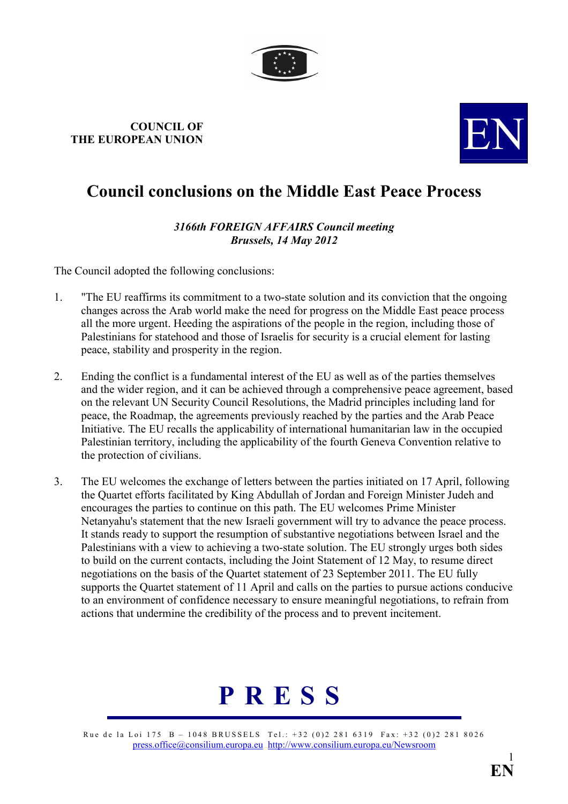

## COUNCIL OF COUNCIL OF THE EUROPEAN UNION



## Council conclusions on the Middle East Peace Process

## 3166th FOREIGN AFFAIRS Council meeting Brussels, 14 May 2012

The Council adopted the following conclusions:

- 1. "The EU reaffirms its commitment to a two-state solution and its conviction that the ongoing changes across the Arab world make the need for progress on the Middle East peace process all the more urgent. Heeding the aspirations of the people in the region, including those of Palestinians for statehood and those of Israelis for security is a crucial element for lasting peace, stability and prosperity in the region.
- 2. Ending the conflict is a fundamental interest of the EU as well as of the parties themselves and the wider region, and it can be achieved through a comprehensive peace agreement, based on the relevant UN Security Council Resolutions, the Madrid principles including land for peace, the Roadmap, the agreements previously reached by the parties and the Arab Peace Initiative. The EU recalls the applicability of international humanitarian law in the occupied Palestinian territory, including the applicability of the fourth Geneva Convention relative to the protection of civilians.
- 3. The EU welcomes the exchange of letters between the parties initiated on 17 April, following the Quartet efforts facilitated by King Abdullah of Jordan and Foreign Minister Judeh and encourages the parties to continue on this path. The EU welcomes Prime Minister Netanyahu's statement that the new Israeli government will try to advance the peace process. It stands ready to support the resumption of substantive negotiations between Israel and the Palestinians with a view to achieving a two-state solution. The EU strongly urges both sides to build on the current contacts, including the Joint Statement of 12 May, to resume direct negotiations on the basis of the Quartet statement of 23 September 2011. The EU fully supports the Quartet statement of 11 April and calls on the parties to pursue actions conducive to an environment of confidence necessary to ensure meaningful negotiations, to refrain from actions that undermine the credibility of the process and to prevent incitement.



Rue de la Loi 175 B – 1048 BRUSSELS Tel.: +32 (0)2 281 6319 Fax: +32 (0)2 281 8026 [press.office@consilium.europa.eu](mailto:press.office@consilium.eu.int) [http://www.consilium.europa.eu/Newsroom](http://ue.eu.int/Newsroom)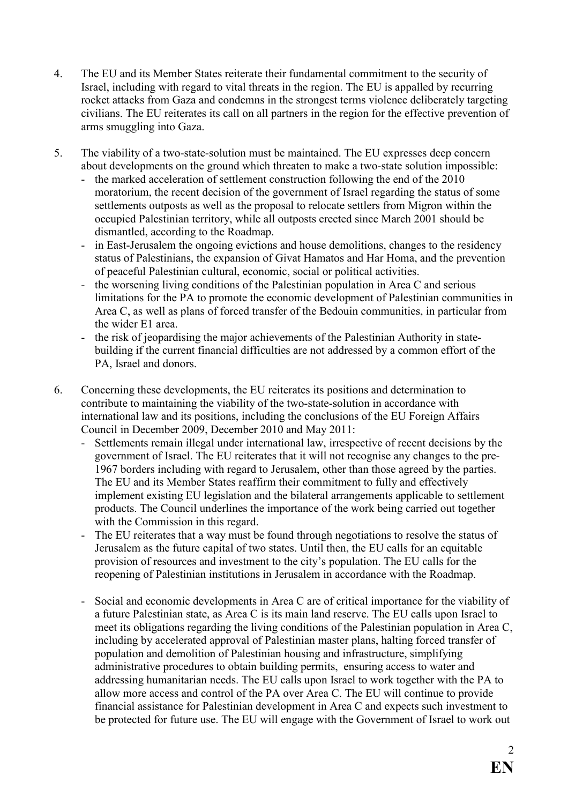- 4. The EU and its Member States reiterate their fundamental commitment to the security of Israel, including with regard to vital threats in the region. The EU is appalled by recurring rocket attacks from Gaza and condemns in the strongest terms violence deliberately targeting civilians. The EU reiterates its call on all partners in the region for the effective prevention of arms smuggling into Gaza.
- 5. The viability of a two-state-solution must be maintained. The EU expresses deep concern about developments on the ground which threaten to make a two-state solution impossible:
	- the marked acceleration of settlement construction following the end of the 2010 moratorium, the recent decision of the government of Israel regarding the status of some settlements outposts as well as the proposal to relocate settlers from Migron within the occupied Palestinian territory, while all outposts erected since March 2001 should be dismantled, according to the Roadmap.
	- in East-Jerusalem the ongoing evictions and house demolitions, changes to the residency status of Palestinians, the expansion of Givat Hamatos and Har Homa, and the prevention of peaceful Palestinian cultural, economic, social or political activities.
	- the worsening living conditions of the Palestinian population in Area C and serious limitations for the PA to promote the economic development of Palestinian communities in Area C, as well as plans of forced transfer of the Bedouin communities, in particular from the wider E1 area.
	- the risk of jeopardising the major achievements of the Palestinian Authority in statebuilding if the current financial difficulties are not addressed by a common effort of the PA, Israel and donors.
- 6. Concerning these developments, the EU reiterates its positions and determination to contribute to maintaining the viability of the two-state-solution in accordance with international law and its positions, including the conclusions of the EU Foreign Affairs Council in December 2009, December 2010 and May 2011:
	- Settlements remain illegal under international law, irrespective of recent decisions by the government of Israel. The EU reiterates that it will not recognise any changes to the pre-1967 borders including with regard to Jerusalem, other than those agreed by the parties. The EU and its Member States reaffirm their commitment to fully and effectively implement existing EU legislation and the bilateral arrangements applicable to settlement products. The Council underlines the importance of the work being carried out together with the Commission in this regard.
	- The EU reiterates that a way must be found through negotiations to resolve the status of Jerusalem as the future capital of two states. Until then, the EU calls for an equitable provision of resources and investment to the city's population. The EU calls for the reopening of Palestinian institutions in Jerusalem in accordance with the Roadmap.
	- Social and economic developments in Area C are of critical importance for the viability of a future Palestinian state, as Area C is its main land reserve. The EU calls upon Israel to meet its obligations regarding the living conditions of the Palestinian population in Area C, including by accelerated approval of Palestinian master plans, halting forced transfer of population and demolition of Palestinian housing and infrastructure, simplifying administrative procedures to obtain building permits, ensuring access to water and addressing humanitarian needs. The EU calls upon Israel to work together with the PA to allow more access and control of the PA over Area C. The EU will continue to provide financial assistance for Palestinian development in Area C and expects such investment to be protected for future use. The EU will engage with the Government of Israel to work out